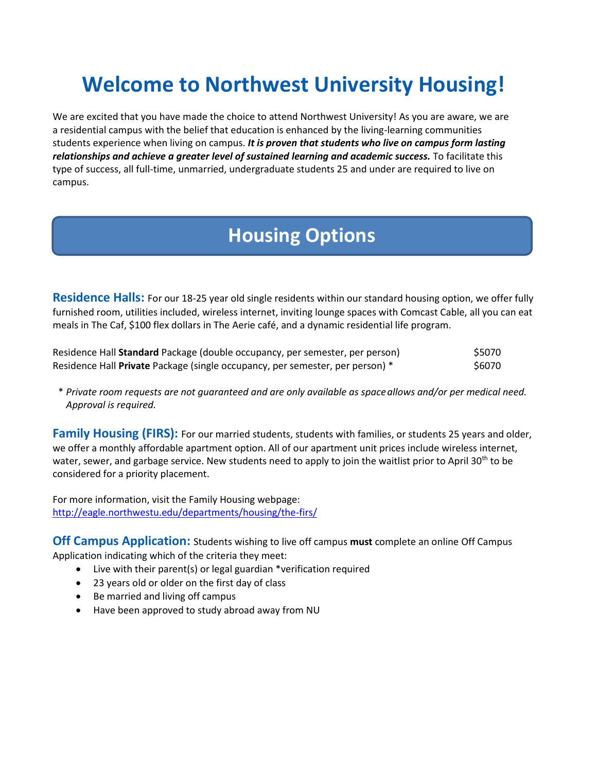# **Welcome to Northwest University Housing!**

We are excited that you have made the choice to attend Northwest University! As you are aware, we are a residential campus with the belief that education is enhanced by the living-learning communities students experience when living on campus. *It is proven that students who live on campus form lasting relationships and achieve a greater level of sustained learning and academic success.* To facilitate this type of success, all full-time, unmarried, undergraduate students 25 and under are required to live on campus.

## **Housing Options**

**Residence Halls:** For our 18-25 year old single residents within our standard housing option, we offer fully furnished room, utilities included, wireless internet, inviting lounge spaces with Comcast Cable, all you can eat meals in The Caf, \$100 flex dollars in The Aerie café, and a dynamic residential life program.

| Residence Hall Standard Package (double occupancy, per semester, per person)  | \$5070 |
|-------------------------------------------------------------------------------|--------|
| Residence Hall Private Package (single occupancy, per semester, per person) * | \$6070 |

\* *Private room requests are not guaranteed and are only available as spaceallows and/or per medical need. Approval is required.* 

Family Housing (FIRS): For our married students, students with families, or students 25 years and older, we offer a monthly affordable apartment option. All of our apartment unit prices include wireless internet, water, sewer, and garbage service. New students need to apply to join the waitlist prior to April 30<sup>th</sup> to be considered for a priority placement.

For more information, visit the Family Housing webpage: <http://eagle.northwestu.edu/departments/housing/the-firs/>

**Off Campus Application:** Students wishing to live off campus **must** complete an online Off Campus Application indicating which of the criteria they meet:

- Live with their parent(s) or legal guardian \*verification required
- 23 years old or older on the first day of class
- Be married and living off campus
- Have been approved to study abroad away from NU